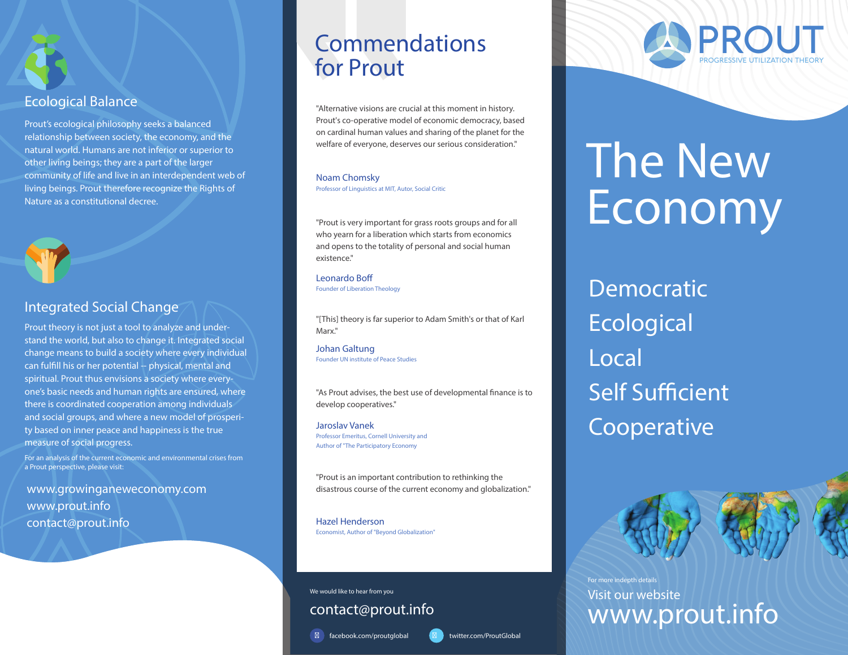

Prout's ecological philosophy seeks a balanced relationship between society, the economy, and the natural world. Humans are not inferior or superior to other living beings; they are a part of the larger community of life and live in an interdependent web of living beings. Prout therefore recognize the Rights of Nature as a constitutional decree.



#### **Integrated Social Change**

Prout theory is not just a tool to analyze and understand the world, but also to change it. Integrated social change means to build a society where every individual can fulfill his or her potential -- physical, mental and spiritual. Prout thus envisions a society where everyone's basic needs and human rights are ensured, where there is coordinated cooperation among individuals and social groups, and where a new model of prosperity based on inner peace and happiness is the true measure of social progress.

For an analysis of the current economic and environmental crises from a Prout perspective, please visit:

**www.growinganeweconomy.com www.prout.info contact@prout.info**

## **Commendations for Prout**

"Alternative visions are crucial at this moment in history. Prout's co-operative model of economic democracy, based on cardinal human values and sharing of the planet for the welfare of everyone, deserves our serious consideration."

#### **Noam Chomsky**

**Professor of Linguistics at MIT, Autor, Social Critic**

"Prout is very important for grass roots groups and for all who yearn for a liberation which starts from economics and opens to the totality of personal and social human existence."

**Leonardo Bo Founder of Liberation Theology**

"[This] theory is far superior to Adam Smith's or that of Karl Marx."

**Johan Galtung Founder UN institute of Peace Studies**

"As Prout advises, the best use of developmental finance is to develop cooperatives."

**Jaroslav Vanek Professor Emeritus, Cornell University and Author of "The Participatory Economy**

"Prout is an important contribution to rethinking the disastrous course of the current economy and globalization."

**Hazel Henderson Economist, Author of "Beyond Globalization"**

**contact@prout.info We would like to hear from you**

facebook.com/**proutglobal**



# **The New Economy**

Democratic **Ecological** Local **Self Sufficient** Cooperative



**www.prout.info Visit our website** For more indepth details